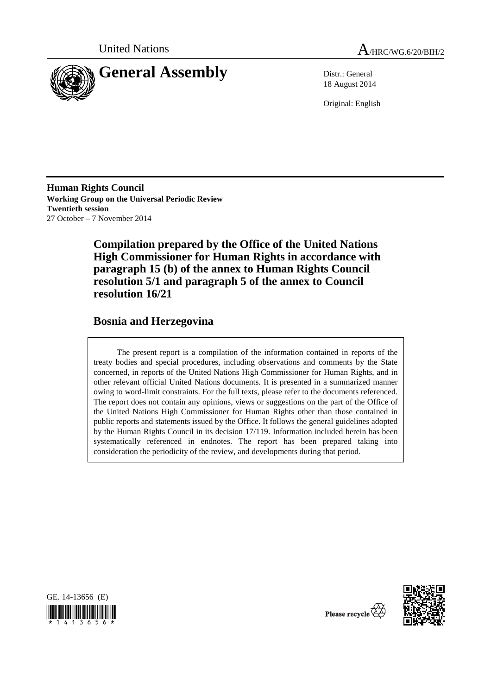



18 August 2014

Original: English

**Human Rights Council Working Group on the Universal Periodic Review Twentieth session**  27 October – 7 November 2014

> **Compilation prepared by the Office of the United Nations High Commissioner for Human Rights in accordance with paragraph 15 (b) of the annex to Human Rights Council resolution 5/1 and paragraph 5 of the annex to Council resolution 16/21**

## **Bosnia and Herzegovina**

The present report is a compilation of the information contained in reports of the treaty bodies and special procedures, including observations and comments by the State concerned, in reports of the United Nations High Commissioner for Human Rights, and in other relevant official United Nations documents. It is presented in a summarized manner owing to word-limit constraints. For the full texts, please refer to the documents referenced. The report does not contain any opinions, views or suggestions on the part of the Office of the United Nations High Commissioner for Human Rights other than those contained in public reports and statements issued by the Office. It follows the general guidelines adopted by the Human Rights Council in its decision 17/119. Information included herein has been systematically referenced in endnotes. The report has been prepared taking into consideration the periodicity of the review, and developments during that period.





Please recycle  $\vec{\mathcal{R}}$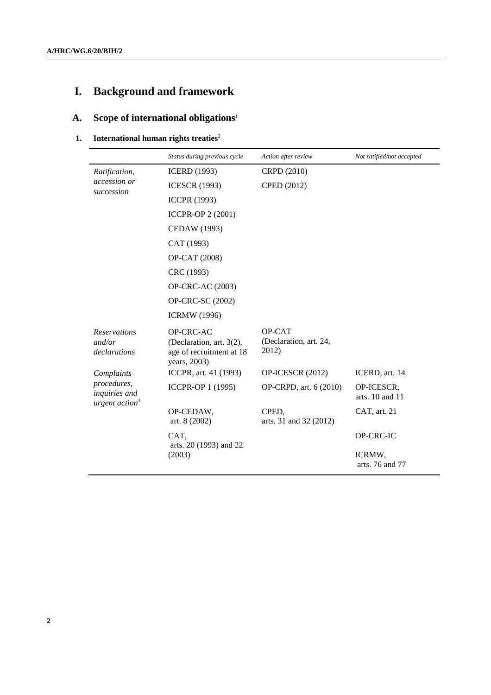# **I. Background and framework**

# **A. Scope of international obligations**<sup>1</sup>

#### **1.** International human rights treaties<sup>2</sup>

|                                                  | Status during previous cycle                                                      | Action after review                       | Not ratified/not accepted         |
|--------------------------------------------------|-----------------------------------------------------------------------------------|-------------------------------------------|-----------------------------------|
| Ratification,<br>accession or<br>succession      | <b>ICERD</b> (1993)                                                               | CRPD (2010)                               |                                   |
|                                                  | <b>ICESCR (1993)</b>                                                              | CPED (2012)                               |                                   |
|                                                  | <b>ICCPR (1993)</b>                                                               |                                           |                                   |
|                                                  | <b>ICCPR-OP 2 (2001)</b>                                                          |                                           |                                   |
|                                                  | CEDAW (1993)                                                                      |                                           |                                   |
|                                                  | CAT (1993)                                                                        |                                           |                                   |
|                                                  | OP-CAT (2008)                                                                     |                                           |                                   |
|                                                  | CRC (1993)                                                                        |                                           |                                   |
|                                                  | OP-CRC-AC (2003)                                                                  |                                           |                                   |
|                                                  | OP-CRC-SC (2002)                                                                  |                                           |                                   |
|                                                  | <b>ICRMW</b> (1996)                                                               |                                           |                                   |
| <b>Reservations</b><br>and/or<br>declarations    | OP-CRC-AC<br>(Declaration, art. 3(2),<br>age of recruitment at 18<br>years, 2003) | OP-CAT<br>(Declaration, art. 24,<br>2012) |                                   |
| Complaints                                       | ICCPR, art. 41 (1993)                                                             | OP-ICESCR (2012)                          | ICERD, art. 14                    |
| procedures,<br>inquiries and<br>urgent $action3$ | ICCPR-OP 1 (1995)                                                                 | OP-CRPD, art. 6 (2010)                    | OP-ICESCR,<br>arts. $10$ and $11$ |
|                                                  | OP-CEDAW,<br>art. 8 (2002)                                                        | CPED,<br>arts. 31 and 32 (2012)           | CAT, art. 21                      |
|                                                  | CAT.<br>arts. 20 (1993) and 22                                                    |                                           | OP-CRC-IC                         |
|                                                  | (2003)                                                                            |                                           | ICRMW,<br>arts. 76 and 77         |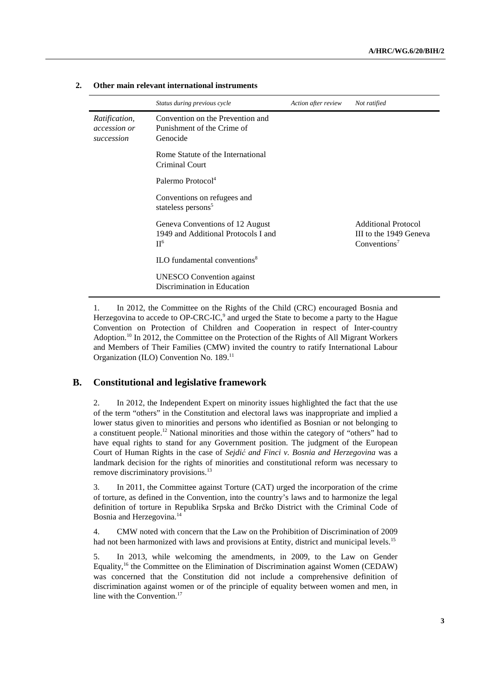|                                                    | Status during previous cycle                                                      | Action after review | Not ratified                                                                     |
|----------------------------------------------------|-----------------------------------------------------------------------------------|---------------------|----------------------------------------------------------------------------------|
| Ratification,<br><i>accession or</i><br>succession | Convention on the Prevention and<br>Punishment of the Crime of<br>Genocide        |                     |                                                                                  |
|                                                    | Rome Statute of the International<br>Criminal Court                               |                     |                                                                                  |
|                                                    | Palermo Protocol <sup>4</sup>                                                     |                     |                                                                                  |
|                                                    | Conventions on refugees and<br>stateless persons <sup>5</sup>                     |                     |                                                                                  |
|                                                    | Geneva Conventions of 12 August<br>1949 and Additional Protocols I and<br>$\Pi^6$ |                     | <b>Additional Protocol</b><br>III to the 1949 Geneva<br>Conventions <sup>7</sup> |
|                                                    | ILO fundamental conventions <sup>8</sup>                                          |                     |                                                                                  |
|                                                    | <b>UNESCO</b> Convention against<br>Discrimination in Education                   |                     |                                                                                  |

#### **2. Other main relevant international instruments**

1. In 2012, the Committee on the Rights of the Child (CRC) encouraged Bosnia and Herzegovina to accede to OP-CRC-IC, $9$  and urged the State to become a party to the Hague Convention on Protection of Children and Cooperation in respect of Inter-country Adoption.10 In 2012, the Committee on the Protection of the Rights of All Migrant Workers and Members of Their Families (CMW) invited the country to ratify International Labour Organization (ILO) Convention No. 189.11

#### **B. Constitutional and legislative framework**

2. In 2012, the Independent Expert on minority issues highlighted the fact that the use of the term "others" in the Constitution and electoral laws was inappropriate and implied a lower status given to minorities and persons who identified as Bosnian or not belonging to a constituent people.<sup>12</sup> National minorities and those within the category of "others" had to have equal rights to stand for any Government position. The judgment of the European Court of Human Rights in the case of *Sejdić and Finci v. Bosnia and Herzegovina* was a landmark decision for the rights of minorities and constitutional reform was necessary to remove discriminatory provisions.<sup>13</sup>

3. In 2011, the Committee against Torture (CAT) urged the incorporation of the crime of torture, as defined in the Convention, into the country's laws and to harmonize the legal definition of torture in Republika Srpska and Brčko District with the Criminal Code of Bosnia and Herzegovina.<sup>14</sup>

4. CMW noted with concern that the Law on the Prohibition of Discrimination of 2009 had not been harmonized with laws and provisions at Entity, district and municipal levels.<sup>15</sup>

5. In 2013, while welcoming the amendments, in 2009, to the Law on Gender Equality,16 the Committee on the Elimination of Discrimination against Women (CEDAW) was concerned that the Constitution did not include a comprehensive definition of discrimination against women or of the principle of equality between women and men, in line with the Convention.<sup>17</sup>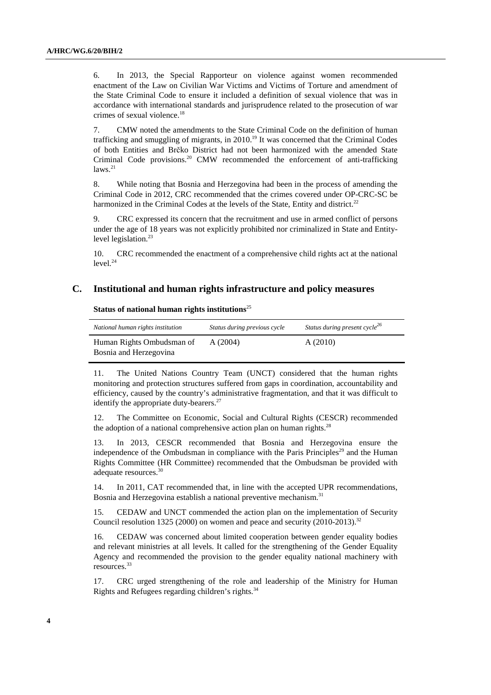6. In 2013, the Special Rapporteur on violence against women recommended enactment of the Law on Civilian War Victims and Victims of Torture and amendment of the State Criminal Code to ensure it included a definition of sexual violence that was in accordance with international standards and jurisprudence related to the prosecution of war crimes of sexual violence.18

7. CMW noted the amendments to the State Criminal Code on the definition of human trafficking and smuggling of migrants, in 2010.<sup>19</sup> It was concerned that the Criminal Codes of both Entities and Brčko District had not been harmonized with the amended State Criminal Code provisions.<sup>20</sup> CMW recommended the enforcement of anti-trafficking  $laws.<sup>21</sup>$ 

8. While noting that Bosnia and Herzegovina had been in the process of amending the Criminal Code in 2012, CRC recommended that the crimes covered under OP-CRC-SC be harmonized in the Criminal Codes at the levels of the State, Entity and district.<sup>22</sup>

9. CRC expressed its concern that the recruitment and use in armed conflict of persons under the age of 18 years was not explicitly prohibited nor criminalized in State and Entitylevel legislation.<sup>23</sup>

10. CRC recommended the enactment of a comprehensive child rights act at the national  $level.<sup>24</sup>$ 

#### **C. Institutional and human rights infrastructure and policy measures**

 **Status of national human rights institutions**<sup>25</sup>

| National human rights institution | Status during previous cycle | Status during present cycle <sup>26</sup> |
|-----------------------------------|------------------------------|-------------------------------------------|
| Human Rights Ombudsman of         | A(2004)                      | A(2010)                                   |
| Bosnia and Herzegovina            |                              |                                           |

11. The United Nations Country Team (UNCT) considered that the human rights monitoring and protection structures suffered from gaps in coordination, accountability and efficiency, caused by the country's administrative fragmentation, and that it was difficult to identify the appropriate duty-bearers. $27$ 

12. The Committee on Economic, Social and Cultural Rights (CESCR) recommended the adoption of a national comprehensive action plan on human rights. $^{28}$ 

13. In 2013, CESCR recommended that Bosnia and Herzegovina ensure the independence of the Ombudsman in compliance with the Paris Principles<sup>29</sup> and the Human Rights Committee (HR Committee) recommended that the Ombudsman be provided with adequate resources.30

14. In 2011, CAT recommended that, in line with the accepted UPR recommendations, Bosnia and Herzegovina establish a national preventive mechanism.<sup>31</sup>

15. CEDAW and UNCT commended the action plan on the implementation of Security Council resolution 1325 (2000) on women and peace and security (2010-2013).<sup>32</sup>

16. CEDAW was concerned about limited cooperation between gender equality bodies and relevant ministries at all levels. It called for the strengthening of the Gender Equality Agency and recommended the provision to the gender equality national machinery with resources.33

17. CRC urged strengthening of the role and leadership of the Ministry for Human Rights and Refugees regarding children's rights.<sup>34</sup>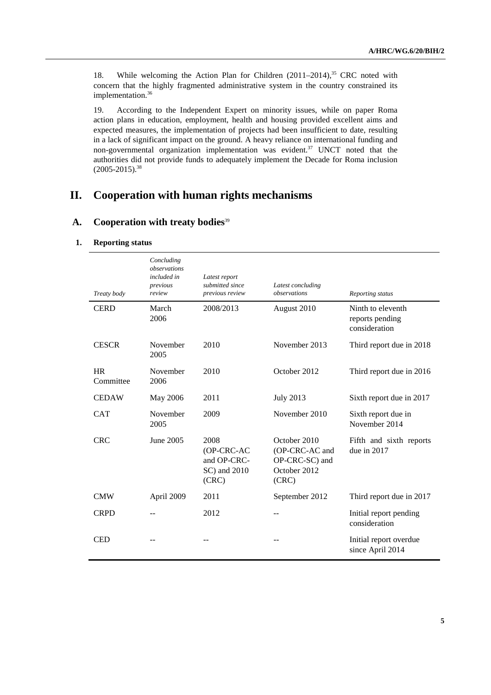18. While welcoming the Action Plan for Children (2011–2014),<sup>35</sup> CRC noted with concern that the highly fragmented administrative system in the country constrained its implementation.<sup>36</sup>

19. According to the Independent Expert on minority issues, while on paper Roma action plans in education, employment, health and housing provided excellent aims and expected measures, the implementation of projects had been insufficient to date, resulting in a lack of significant impact on the ground. A heavy reliance on international funding and non-governmental organization implementation was evident.<sup>37</sup> UNCT noted that the authorities did not provide funds to adequately implement the Decade for Roma inclusion  $(2005 - 2015)^{38}$ 

# **II. Cooperation with human rights mechanisms**

#### **A. Cooperation with treaty bodies**<sup>39</sup>

#### **1. Reporting status**

| Treaty body            | Concluding<br>observations<br>included in<br>previous<br>review | Latest report<br>submitted since<br>previous review        | Latest concluding<br>observations                                         | Reporting status                                      |
|------------------------|-----------------------------------------------------------------|------------------------------------------------------------|---------------------------------------------------------------------------|-------------------------------------------------------|
| <b>CERD</b>            | March<br>2006                                                   | 2008/2013                                                  | August 2010                                                               | Ninth to eleventh<br>reports pending<br>consideration |
| <b>CESCR</b>           | November<br>2005                                                | 2010                                                       | November 2013                                                             | Third report due in 2018                              |
| <b>HR</b><br>Committee | November<br>2006                                                | 2010                                                       | October 2012                                                              | Third report due in 2016                              |
| <b>CEDAW</b>           | May 2006                                                        | 2011                                                       | <b>July 2013</b>                                                          | Sixth report due in 2017                              |
| <b>CAT</b>             | November<br>2005                                                | 2009                                                       | November 2010                                                             | Sixth report due in<br>November 2014                  |
| <b>CRC</b>             | June 2005                                                       | 2008<br>(OP-CRC-AC<br>and OP-CRC-<br>SC) and 2010<br>(CRC) | October 2010<br>(OP-CRC-AC and<br>OP-CRC-SC) and<br>October 2012<br>(CRC) | Fifth and sixth reports<br>due in $2017$              |
| <b>CMW</b>             | April 2009                                                      | 2011                                                       | September 2012                                                            | Third report due in 2017                              |
| <b>CRPD</b>            |                                                                 | 2012                                                       |                                                                           | Initial report pending<br>consideration               |
| <b>CED</b>             |                                                                 |                                                            |                                                                           | Initial report overdue<br>since April 2014            |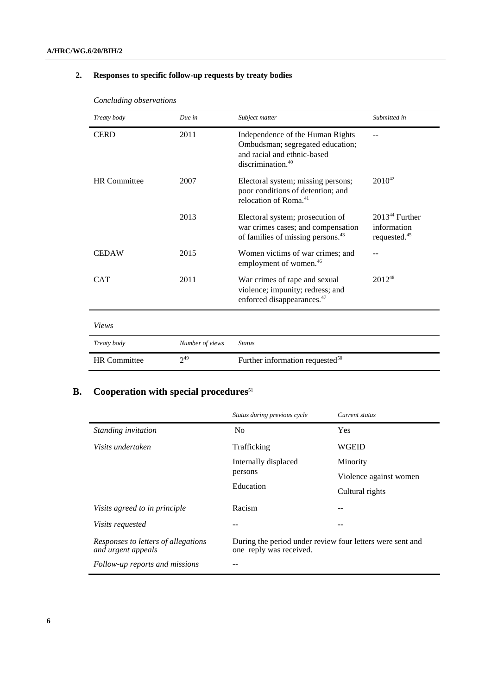### **2. Responses to specific follow-up requests by treaty bodies**

| Treaty body         | Due in          | Subject matter                                                                                                                       | Submitted in                                                |
|---------------------|-----------------|--------------------------------------------------------------------------------------------------------------------------------------|-------------------------------------------------------------|
| <b>CERD</b>         | 2011            | Independence of the Human Rights<br>Ombudsman; segregated education;<br>and racial and ethnic-based<br>discrimination. <sup>40</sup> |                                                             |
| <b>HR</b> Committee | 2007            | Electoral system; missing persons;<br>poor conditions of detention; and<br>relocation of Roma. <sup>41</sup>                         | $2010^{42}$                                                 |
|                     | 2013            | Electoral system; prosecution of<br>war crimes cases; and compensation<br>of families of missing persons. <sup>43</sup>              | $201344$ Further<br>information<br>requested. <sup>45</sup> |
| <b>CEDAW</b>        | 2015            | Women victims of war crimes; and<br>employment of women. <sup>46</sup>                                                               |                                                             |
| <b>CAT</b>          | 2011            | War crimes of rape and sexual<br>violence; impunity; redress; and<br>enforced disappearances. <sup>47</sup>                          | $2012^{48}$                                                 |
| Views               |                 |                                                                                                                                      |                                                             |
| Treaty body         | Number of views | <b>Status</b>                                                                                                                        |                                                             |
| <b>HR</b> Committee | $2^{49}$        | Further information requested <sup>50</sup>                                                                                          |                                                             |

*Concluding observations* 

# **B.** Cooperation with special procedures<sup>51</sup>

|                                                           | Status during previous cycle                                                         | Current status         |
|-----------------------------------------------------------|--------------------------------------------------------------------------------------|------------------------|
| Standing invitation                                       | N <sub>0</sub>                                                                       | Yes                    |
| Visits undertaken                                         | Trafficking                                                                          | WGEID                  |
|                                                           | Internally displaced                                                                 | Minority               |
|                                                           | persons                                                                              | Violence against women |
|                                                           | Education                                                                            | Cultural rights        |
| Visits agreed to in principle                             | Racism                                                                               |                        |
| <i>Visits requested</i>                                   |                                                                                      |                        |
| Responses to letters of allegations<br>and urgent appeals | During the period under review four letters were sent and<br>one reply was received. |                        |
| Follow-up reports and missions                            |                                                                                      |                        |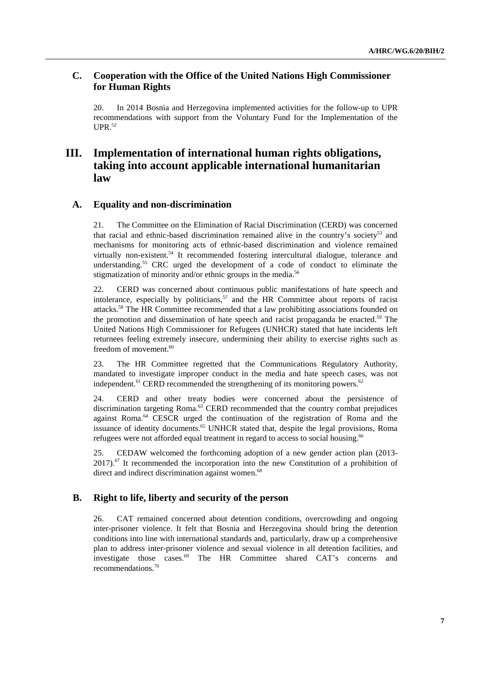#### **C. Cooperation with the Office of the United Nations High Commissioner for Human Rights**

20. In 2014 Bosnia and Herzegovina implemented activities for the follow-up to UPR recommendations with support from the Voluntary Fund for the Implementation of the  $UPR<sup>.52</sup>$ 

## **III. Implementation of international human rights obligations, taking into account applicable international humanitarian law**

#### **A. Equality and non-discrimination**

21. The Committee on the Elimination of Racial Discrimination (CERD) was concerned that racial and ethnic-based discrimination remained alive in the country's society<sup>53</sup> and mechanisms for monitoring acts of ethnic-based discrimination and violence remained virtually non-existent*.* 54 It recommended fostering intercultural dialogue, tolerance and understanding.55 CRC urged the development of a code of conduct to eliminate the stigmatization of minority and/or ethnic groups in the media.<sup>56</sup>

22. CERD was concerned about continuous public manifestations of hate speech and intolerance, especially by politicians,<sup>57</sup> and the HR Committee about reports of racist attacks.58 The HR Committee recommended that a law prohibiting associations founded on the promotion and dissemination of hate speech and racist propaganda be enacted.<sup>59</sup> The United Nations High Commissioner for Refugees (UNHCR) stated that hate incidents left returnees feeling extremely insecure, undermining their ability to exercise rights such as freedom of movement.<sup>60</sup>

23. The HR Committee regretted that the Communications Regulatory Authority, mandated to investigate improper conduct in the media and hate speech cases, was not independent.<sup>61</sup> CERD recommended the strengthening of its monitoring powers.<sup>62</sup>

24. CERD and other treaty bodies were concerned about the persistence of discrimination targeting Roma.<sup>63</sup> CERD recommended that the country combat prejudices against Roma.<sup>64</sup> CESCR urged the continuation of the registration of Roma and the issuance of identity documents.<sup>65</sup> UNHCR stated that, despite the legal provisions, Roma refugees were not afforded equal treatment in regard to access to social housing.<sup>66</sup>

25. CEDAW welcomed the forthcoming adoption of a new gender action plan (2013-  $2017$ ).<sup>67</sup> It recommended the incorporation into the new Constitution of a prohibition of direct and indirect discrimination against women.<sup>68</sup>

### **B. Right to life, liberty and security of the person**

26. CAT remained concerned about detention conditions, overcrowding and ongoing inter-prisoner violence. It felt that Bosnia and Herzegovina should bring the detention conditions into line with international standards and, particularly, draw up a comprehensive plan to address inter-prisoner violence and sexual violence in all detention facilities, and investigate those cases.69 The HR Committee shared CAT's concerns and recommendations.70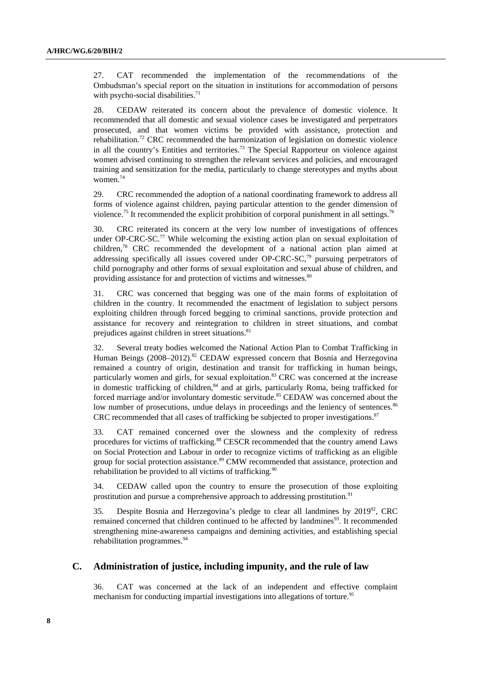27. CAT recommended the implementation of the recommendations of the Ombudsman's special report on the situation in institutions for accommodation of persons with psycho-social disabilities.<sup>71</sup>

28. CEDAW reiterated its concern about the prevalence of domestic violence. It recommended that all domestic and sexual violence cases be investigated and perpetrators prosecuted, and that women victims be provided with assistance, protection and rehabilitation.<sup>72</sup> CRC recommended the harmonization of legislation on domestic violence in all the country's Entities and territories.<sup>73</sup> The Special Rapporteur on violence against women advised continuing to strengthen the relevant services and policies, and encouraged training and sensitization for the media, particularly to change stereotypes and myths about women.74

29. CRC recommended the adoption of a national coordinating framework to address all forms of violence against children, paying particular attention to the gender dimension of violence.<sup>75</sup> It recommended the explicit prohibition of corporal punishment in all settings.<sup>76</sup>

30. CRC reiterated its concern at the very low number of investigations of offences under OP-CRC-SC.<sup>77</sup> While welcoming the existing action plan on sexual exploitation of children,78 CRC recommended the development of a national action plan aimed at addressing specifically all issues covered under OP-CRC-SC.<sup>79</sup> pursuing perpetrators of child pornography and other forms of sexual exploitation and sexual abuse of children, and providing assistance for and protection of victims and witnesses.<sup>80</sup>

31. CRC was concerned that begging was one of the main forms of exploitation of children in the country. It recommended the enactment of legislation to subject persons exploiting children through forced begging to criminal sanctions, provide protection and assistance for recovery and reintegration to children in street situations, and combat prejudices against children in street situations.<sup>81</sup>

32. Several treaty bodies welcomed the National Action Plan to Combat Trafficking in Human Beings (2008–2012).<sup>82</sup> CEDAW expressed concern that Bosnia and Herzegovina remained a country of origin, destination and transit for trafficking in human beings, particularly women and girls, for sexual exploitation.<sup>83</sup> CRC was concerned at the increase in domestic trafficking of children.<sup>84</sup> and at girls, particularly Roma, being trafficked for forced marriage and/or involuntary domestic servitude.<sup>85</sup> CEDAW was concerned about the low number of prosecutions, undue delays in proceedings and the leniency of sentences.<sup>86</sup> CRC recommended that all cases of trafficking be subjected to proper investigations. $87$ 

33. CAT remained concerned over the slowness and the complexity of redress procedures for victims of trafficking.<sup>88</sup> CESCR recommended that the country amend Laws on Social Protection and Labour in order to recognize victims of trafficking as an eligible group for social protection assistance.<sup>89</sup> CMW recommended that assistance, protection and rehabilitation be provided to all victims of trafficking.<sup>90</sup>

34. CEDAW called upon the country to ensure the prosecution of those exploiting prostitution and pursue a comprehensive approach to addressing prostitution.<sup>91</sup>

35. Despite Bosnia and Herzegovina's pledge to clear all landmines by 201992, CRC remained concerned that children continued to be affected by landmines $93$ . It recommended strengthening mine-awareness campaigns and demining activities, and establishing special rehabilitation programmes.<sup>94</sup>

#### **C. Administration of justice, including impunity, and the rule of law**

36. CAT was concerned at the lack of an independent and effective complaint mechanism for conducting impartial investigations into allegations of torture.<sup>95</sup>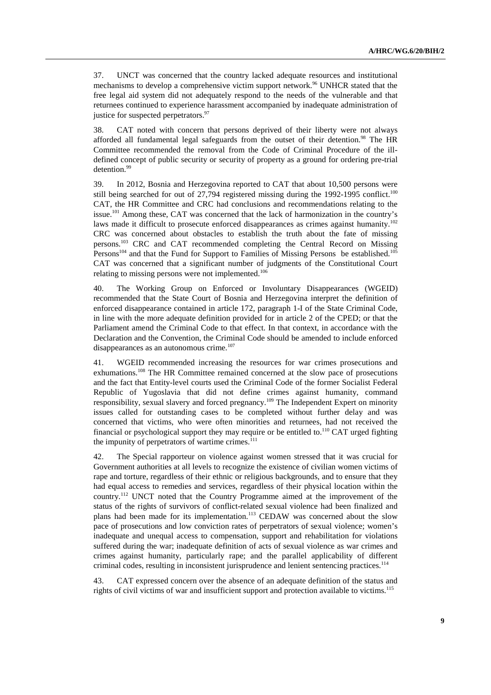37. UNCT was concerned that the country lacked adequate resources and institutional mechanisms to develop a comprehensive victim support network.<sup>96</sup> UNHCR stated that the free legal aid system did not adequately respond to the needs of the vulnerable and that returnees continued to experience harassment accompanied by inadequate administration of justice for suspected perpetrators.<sup>97</sup>

38. CAT noted with concern that persons deprived of their liberty were not always afforded all fundamental legal safeguards from the outset of their detention.<sup>98</sup> The HR Committee recommended the removal from the Code of Criminal Procedure of the illdefined concept of public security or security of property as a ground for ordering pre-trial detention.99

39. In 2012, Bosnia and Herzegovina reported to CAT that about 10,500 persons were still being searched for out of  $27,794$  registered missing during the 1992-1995 conflict.<sup>100</sup> CAT, the HR Committee and CRC had conclusions and recommendations relating to the issue.101 Among these, CAT was concerned that the lack of harmonization in the country's laws made it difficult to prosecute enforced disappearances as crimes against humanity.<sup>102</sup> CRC was concerned about obstacles to establish the truth about the fate of missing persons.103 CRC and CAT recommended completing the Central Record on Missing Persons<sup>104</sup> and that the Fund for Support to Families of Missing Persons be established.<sup>105</sup> CAT was concerned that a significant number of judgments of the Constitutional Court relating to missing persons were not implemented.<sup>106</sup>

40. The Working Group on Enforced or Involuntary Disappearances (WGEID) recommended that the State Court of Bosnia and Herzegovina interpret the definition of enforced disappearance contained in article 172, paragraph 1-I of the State Criminal Code, in line with the more adequate definition provided for in article 2 of the CPED; or that the Parliament amend the Criminal Code to that effect. In that context, in accordance with the Declaration and the Convention, the Criminal Code should be amended to include enforced disappearances as an autonomous crime.<sup>107</sup>

41. WGEID recommended increasing the resources for war crimes prosecutions and exhumations.<sup>108</sup> The HR Committee remained concerned at the slow pace of prosecutions and the fact that Entity-level courts used the Criminal Code of the former Socialist Federal Republic of Yugoslavia that did not define crimes against humanity, command responsibility, sexual slavery and forced pregnancy.109 The Independent Expert on minority issues called for outstanding cases to be completed without further delay and was concerned that victims, who were often minorities and returnees, had not received the financial or psychological support they may require or be entitled to.<sup>110</sup> CAT urged fighting the impunity of perpetrators of wartime crimes.<sup>111</sup>

42. The Special rapporteur on violence against women stressed that it was crucial for Government authorities at all levels to recognize the existence of civilian women victims of rape and torture, regardless of their ethnic or religious backgrounds, and to ensure that they had equal access to remedies and services, regardless of their physical location within the country.112 UNCT noted that the Country Programme aimed at the improvement of the status of the rights of survivors of conflict-related sexual violence had been finalized and plans had been made for its implementation.<sup>113</sup> CEDAW was concerned about the slow pace of prosecutions and low conviction rates of perpetrators of sexual violence; women's inadequate and unequal access to compensation, support and rehabilitation for violations suffered during the war; inadequate definition of acts of sexual violence as war crimes and crimes against humanity, particularly rape; and the parallel applicability of different criminal codes, resulting in inconsistent jurisprudence and lenient sentencing practices.114

43. CAT expressed concern over the absence of an adequate definition of the status and rights of civil victims of war and insufficient support and protection available to victims.115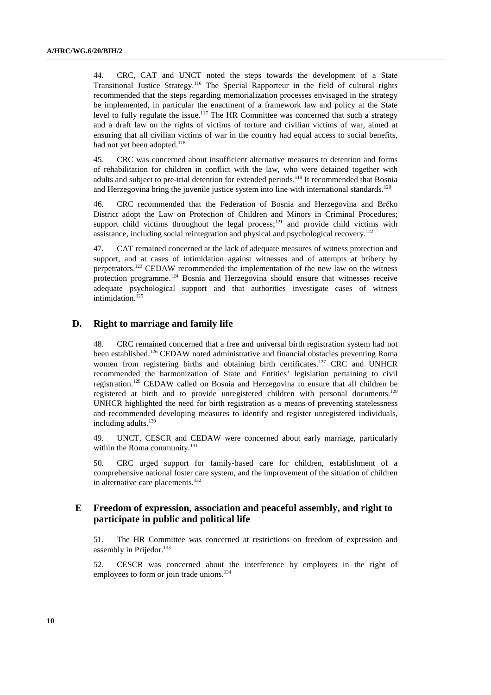44. CRC, CAT and UNCT noted the steps towards the development of a State Transitional Justice Strategy.116 The Special Rapporteur in the field of cultural rights recommended that the steps regarding memorialization processes envisaged in the strategy be implemented, in particular the enactment of a framework law and policy at the State level to fully regulate the issue.<sup>117</sup> The HR Committee was concerned that such a strategy and a draft law on the rights of victims of torture and civilian victims of war, aimed at ensuring that all civilian victims of war in the country had equal access to social benefits, had not yet been adopted.<sup>118</sup>

45. CRC was concerned about insufficient alternative measures to detention and forms of rehabilitation for children in conflict with the law, who were detained together with adults and subject to pre-trial detention for extended periods.<sup>119</sup> It recommended that Bosnia and Herzegovina bring the juvenile justice system into line with international standards.<sup>120</sup>

46. CRC recommended that the Federation of Bosnia and Herzegovina and Brčko District adopt the Law on Protection of Children and Minors in Criminal Procedures; support child victims throughout the legal process;<sup>121</sup> and provide child victims with assistance, including social reintegration and physical and psychological recovery.<sup>122</sup>

47. CAT remained concerned at the lack of adequate measures of witness protection and support, and at cases of intimidation against witnesses and of attempts at bribery by perpetrators.<sup>123</sup> CEDAW recommended the implementation of the new law on the witness protection programme.124 Bosnia and Herzegovina should ensure that witnesses receive adequate psychological support and that authorities investigate cases of witness intimidation.<sup>125</sup>

#### **D. Right to marriage and family life**

48. CRC remained concerned that a free and universal birth registration system had not been established.<sup>126</sup> CEDAW noted administrative and financial obstacles preventing Roma women from registering births and obtaining birth certificates.<sup>127</sup> CRC and UNHCR recommended the harmonization of State and Entities' legislation pertaining to civil registration.128 CEDAW called on Bosnia and Herzegovina to ensure that all children be registered at birth and to provide unregistered children with personal documents.129 UNHCR highlighted the need for birth registration as a means of preventing statelessness and recommended developing measures to identify and register unregistered individuals, including adults.<sup>130</sup>

49. UNCT, CESCR and CEDAW were concerned about early marriage, particularly within the Roma community.<sup>131</sup>

50. CRC urged support for family-based care for children, establishment of a comprehensive national foster care system, and the improvement of the situation of children in alternative care placements.<sup>132</sup>

#### **E Freedom of expression, association and peaceful assembly, and right to participate in public and political life**

51. The HR Committee was concerned at restrictions on freedom of expression and assembly in Prijedor. $133$ 

52. CESCR was concerned about the interference by employers in the right of employees to form or join trade unions.<sup>134</sup>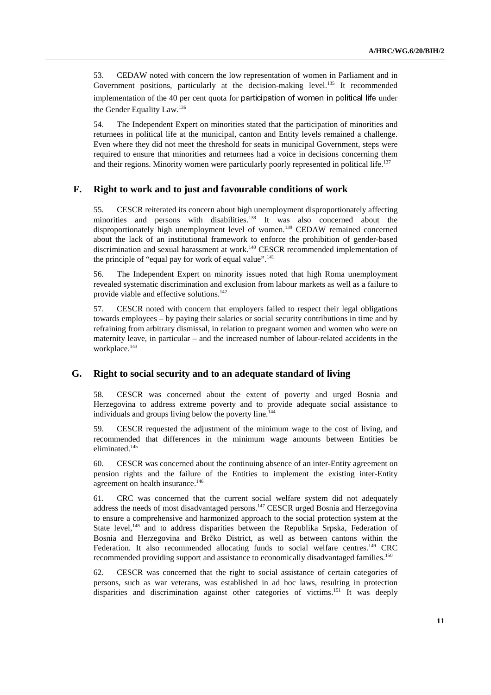53. CEDAW noted with concern the low representation of women in Parliament and in Government positions, particularly at the decision-making level.<sup>135</sup> It recommended implementation of the 40 per cent quota for participation of women in political life under the Gender Equality Law.136

54. The Independent Expert on minorities stated that the participation of minorities and returnees in political life at the municipal, canton and Entity levels remained a challenge. Even where they did not meet the threshold for seats in municipal Government, steps were required to ensure that minorities and returnees had a voice in decisions concerning them and their regions. Minority women were particularly poorly represented in political life.<sup>137</sup>

#### **F. Right to work and to just and favourable conditions of work**

55. CESCR reiterated its concern about high unemployment disproportionately affecting minorities and persons with disabilities.<sup>138</sup> It was also concerned about the disproportionately high unemployment level of women.<sup>139</sup> CEDAW remained concerned about the lack of an institutional framework to enforce the prohibition of gender-based discrimination and sexual harassment at work.<sup>140</sup> CESCR recommended implementation of the principle of "equal pay for work of equal value".<sup>141</sup>

56. The Independent Expert on minority issues noted that high Roma unemployment revealed systematic discrimination and exclusion from labour markets as well as a failure to provide viable and effective solutions.<sup>142</sup>

57. CESCR noted with concern that employers failed to respect their legal obligations towards employees – by paying their salaries or social security contributions in time and by refraining from arbitrary dismissal, in relation to pregnant women and women who were on maternity leave, in particular – and the increased number of labour-related accidents in the workplace.<sup>143</sup>

#### **G. Right to social security and to an adequate standard of living**

58. CESCR was concerned about the extent of poverty and urged Bosnia and Herzegovina to address extreme poverty and to provide adequate social assistance to individuals and groups living below the poverty line.<sup>144</sup>

59. CESCR requested the adjustment of the minimum wage to the cost of living, and recommended that differences in the minimum wage amounts between Entities be eliminated.<sup>145</sup>

60. CESCR was concerned about the continuing absence of an inter-Entity agreement on pension rights and the failure of the Entities to implement the existing inter-Entity agreement on health insurance.<sup>146</sup>

61. CRC was concerned that the current social welfare system did not adequately address the needs of most disadvantaged persons.<sup>147</sup> CESCR urged Bosnia and Herzegovina to ensure a comprehensive and harmonized approach to the social protection system at the State level,<sup>148</sup> and to address disparities between the Republika Srpska, Federation of Bosnia and Herzegovina and Brčko District, as well as between cantons within the Federation. It also recommended allocating funds to social welfare centres.<sup>149</sup> CRC recommended providing support and assistance to economically disadvantaged families.<sup>150</sup>

62. CESCR was concerned that the right to social assistance of certain categories of persons, such as war veterans, was established in ad hoc laws, resulting in protection disparities and discrimination against other categories of victims.<sup>151</sup> It was deeply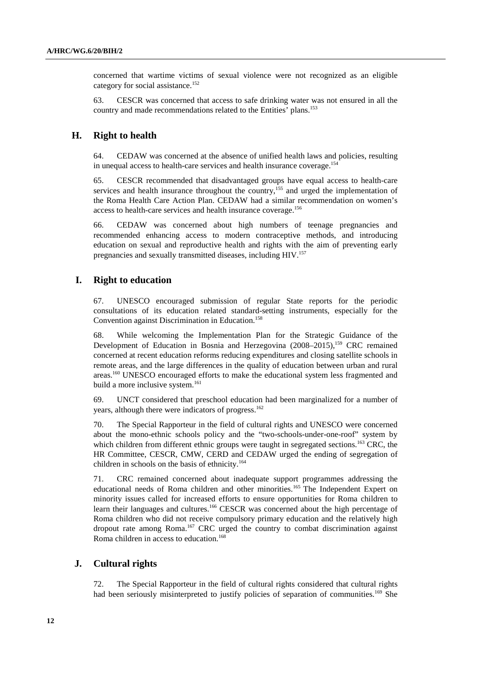concerned that wartime victims of sexual violence were not recognized as an eligible category for social assistance.<sup>152</sup>

63. CESCR was concerned that access to safe drinking water was not ensured in all the country and made recommendations related to the Entities' plans.<sup>153</sup>

#### **H. Right to health**

64. CEDAW was concerned at the absence of unified health laws and policies, resulting in unequal access to health-care services and health insurance coverage.<sup>154</sup>

65. CESCR recommended that disadvantaged groups have equal access to health-care services and health insurance throughout the country,<sup>155</sup> and urged the implementation of the Roma Health Care Action Plan. CEDAW had a similar recommendation on women's access to health-care services and health insurance coverage.156

66. CEDAW was concerned about high numbers of teenage pregnancies and recommended enhancing access to modern contraceptive methods, and introducing education on sexual and reproductive health and rights with the aim of preventing early pregnancies and sexually transmitted diseases, including HIV.157

#### **I. Right to education**

67. UNESCO encouraged submission of regular State reports for the periodic consultations of its education related standard-setting instruments, especially for the Convention against Discrimination in Education.<sup>158</sup>

68. While welcoming the Implementation Plan for the Strategic Guidance of the Development of Education in Bosnia and Herzegovina  $(2008-2015)$ ,  $^{159}$  CRC remained concerned at recent education reforms reducing expenditures and closing satellite schools in remote areas, and the large differences in the quality of education between urban and rural areas.<sup>160</sup> UNESCO encouraged efforts to make the educational system less fragmented and build a more inclusive system.<sup>161</sup>

69. UNCT considered that preschool education had been marginalized for a number of years, although there were indicators of progress.<sup>162</sup>

70. The Special Rapporteur in the field of cultural rights and UNESCO were concerned about the mono-ethnic schools policy and the "two-schools-under-one-roof" system by which children from different ethnic groups were taught in segregated sections.<sup>163</sup> CRC, the HR Committee, CESCR, CMW, CERD and CEDAW urged the ending of segregation of children in schools on the basis of ethnicity.<sup>164</sup>

71. CRC remained concerned about inadequate support programmes addressing the educational needs of Roma children and other minorities.<sup>165</sup> The Independent Expert on minority issues called for increased efforts to ensure opportunities for Roma children to learn their languages and cultures.<sup>166</sup> CESCR was concerned about the high percentage of Roma children who did not receive compulsory primary education and the relatively high dropout rate among Roma.<sup>167</sup> CRC urged the country to combat discrimination against Roma children in access to education.<sup>168</sup>

#### **J. Cultural rights**

72. The Special Rapporteur in the field of cultural rights considered that cultural rights had been seriously misinterpreted to justify policies of separation of communities.<sup>169</sup> She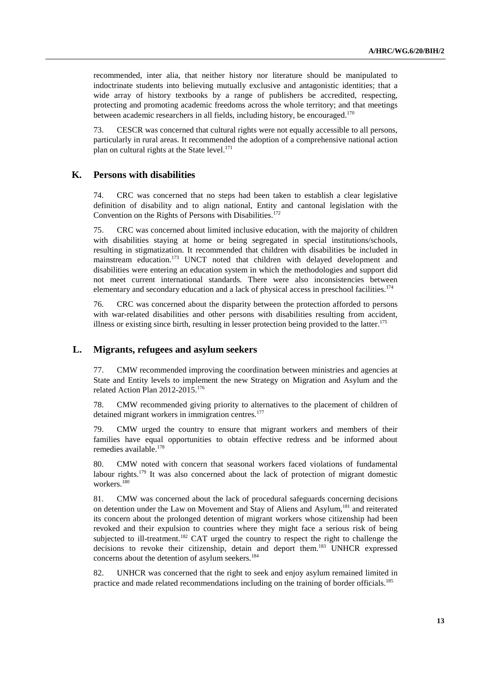recommended, inter alia, that neither history nor literature should be manipulated to indoctrinate students into believing mutually exclusive and antagonistic identities; that a wide array of history textbooks by a range of publishers be accredited, respecting, protecting and promoting academic freedoms across the whole territory; and that meetings between academic researchers in all fields, including history, be encouraged.<sup>170</sup>

73. CESCR was concerned that cultural rights were not equally accessible to all persons, particularly in rural areas. It recommended the adoption of a comprehensive national action plan on cultural rights at the State level. $171$ 

#### **K. Persons with disabilities**

74. CRC was concerned that no steps had been taken to establish a clear legislative definition of disability and to align national, Entity and cantonal legislation with the Convention on the Rights of Persons with Disabilities.<sup>172</sup>

75. CRC was concerned about limited inclusive education, with the majority of children with disabilities staying at home or being segregated in special institutions/schools, resulting in stigmatization. It recommended that children with disabilities be included in mainstream education.<sup>173</sup> UNCT noted that children with delayed development and disabilities were entering an education system in which the methodologies and support did not meet current international standards. There were also inconsistencies between elementary and secondary education and a lack of physical access in preschool facilities.<sup>174</sup>

76. CRC was concerned about the disparity between the protection afforded to persons with war-related disabilities and other persons with disabilities resulting from accident, illness or existing since birth, resulting in lesser protection being provided to the latter.<sup>175</sup>

#### **L. Migrants, refugees and asylum seekers**

77. CMW recommended improving the coordination between ministries and agencies at State and Entity levels to implement the new Strategy on Migration and Asylum and the related Action Plan 2012-2015.<sup>176</sup>

78. CMW recommended giving priority to alternatives to the placement of children of detained migrant workers in immigration centres.<sup>177</sup>

79. CMW urged the country to ensure that migrant workers and members of their families have equal opportunities to obtain effective redress and be informed about remedies available.<sup>178</sup>

80. CMW noted with concern that seasonal workers faced violations of fundamental labour rights.<sup>179</sup> It was also concerned about the lack of protection of migrant domestic workers.<sup>180</sup>

81. CMW was concerned about the lack of procedural safeguards concerning decisions on detention under the Law on Movement and Stay of Aliens and Asylum,<sup>181</sup> and reiterated its concern about the prolonged detention of migrant workers whose citizenship had been revoked and their expulsion to countries where they might face a serious risk of being subjected to ill-treatment.<sup>182</sup> CAT urged the country to respect the right to challenge the decisions to revoke their citizenship, detain and deport them.183 UNHCR expressed concerns about the detention of asylum seekers.<sup>184</sup>

82. UNHCR was concerned that the right to seek and enjoy asylum remained limited in practice and made related recommendations including on the training of border officials.<sup>185</sup>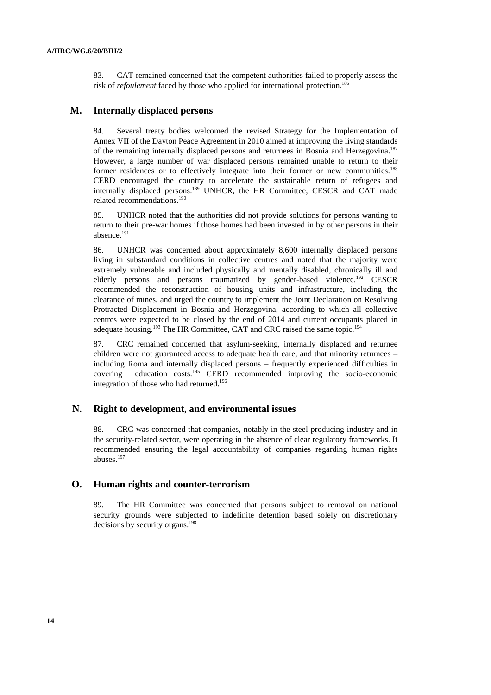83. CAT remained concerned that the competent authorities failed to properly assess the risk of *refoulement* faced by those who applied for international protection.<sup>186</sup>

#### **M. Internally displaced persons**

84. Several treaty bodies welcomed the revised Strategy for the Implementation of Annex VII of the Dayton Peace Agreement in 2010 aimed at improving the living standards of the remaining internally displaced persons and returnees in Bosnia and Herzegovina.187 However, a large number of war displaced persons remained unable to return to their former residences or to effectively integrate into their former or new communities.<sup>188</sup> CERD encouraged the country to accelerate the sustainable return of refugees and internally displaced persons.189 UNHCR, the HR Committee, CESCR and CAT made related recommendations.190

85. UNHCR noted that the authorities did not provide solutions for persons wanting to return to their pre-war homes if those homes had been invested in by other persons in their absence.191

86. UNHCR was concerned about approximately 8,600 internally displaced persons living in substandard conditions in collective centres and noted that the majority were extremely vulnerable and included physically and mentally disabled, chronically ill and elderly persons and persons traumatized by gender-based violence.<sup>192</sup> CESCR recommended the reconstruction of housing units and infrastructure, including the clearance of mines, and urged the country to implement the Joint Declaration on Resolving Protracted Displacement in Bosnia and Herzegovina, according to which all collective centres were expected to be closed by the end of 2014 and current occupants placed in adequate housing.<sup>193</sup> The HR Committee, CAT and CRC raised the same topic.<sup>194</sup>

87. CRC remained concerned that asylum-seeking, internally displaced and returnee children were not guaranteed access to adequate health care, and that minority returnees – including Roma and internally displaced persons – frequently experienced difficulties in covering education costs.195 CERD recommended improving the socio-economic integration of those who had returned.<sup>196</sup>

#### **N. Right to development, and environmental issues**

88. CRC was concerned that companies, notably in the steel-producing industry and in the security-related sector, were operating in the absence of clear regulatory frameworks. It recommended ensuring the legal accountability of companies regarding human rights abuses.<sup>197</sup>

#### **O. Human rights and counter-terrorism**

89. The HR Committee was concerned that persons subject to removal on national security grounds were subjected to indefinite detention based solely on discretionary decisions by security organs.<sup>198</sup>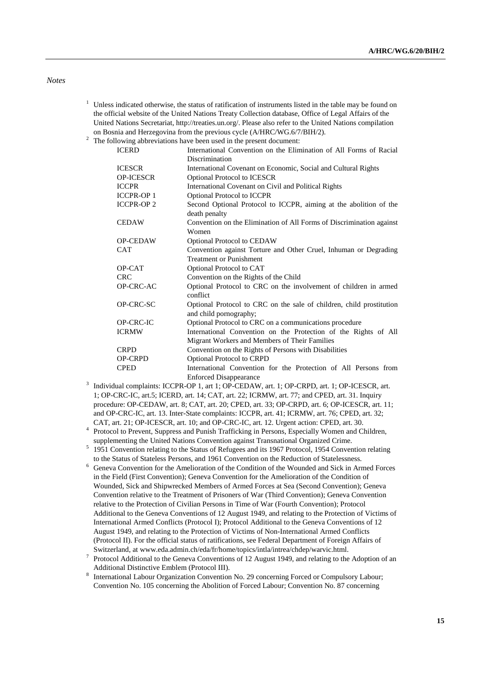#### *Notes*

- <sup>1</sup> Unless indicated otherwise, the status of ratification of instruments listed in the table may be found on the official website of the United Nations Treaty Collection database, Office of Legal Affairs of the United Nations Secretariat, http://treaties.un.org/. Please also refer to the United Nations compilation on Bosnia and Herzegovina from the previous cycle (A/HRC/WG.6/7/BIH/2).
- $2\degree$  The following abbreviations have been used in the present document:

| <b>ICERD</b>     | International Convention on the Elimination of All Forms of Racial                             |
|------------------|------------------------------------------------------------------------------------------------|
|                  | Discrimination                                                                                 |
| <b>ICESCR</b>    | International Covenant on Economic, Social and Cultural Rights                                 |
| <b>OP-ICESCR</b> | <b>Optional Protocol to ICESCR</b>                                                             |
| <b>ICCPR</b>     | International Covenant on Civil and Political Rights                                           |
| <b>ICCPR-OP1</b> | <b>Optional Protocol to ICCPR</b>                                                              |
| <b>ICCPR-OP2</b> | Second Optional Protocol to ICCPR, aiming at the abolition of the                              |
|                  | death penalty                                                                                  |
| <b>CEDAW</b>     | Convention on the Elimination of All Forms of Discrimination against                           |
|                  | Women                                                                                          |
| <b>OP-CEDAW</b>  | Optional Protocol to CEDAW                                                                     |
| <b>CAT</b>       | Convention against Torture and Other Cruel, Inhuman or Degrading                               |
|                  | <b>Treatment or Punishment</b>                                                                 |
| OP-CAT           | Optional Protocol to CAT                                                                       |
| <b>CRC</b>       | Convention on the Rights of the Child                                                          |
| OP-CRC-AC        | Optional Protocol to CRC on the involvement of children in armed<br>conflict                   |
| OP-CRC-SC        | Optional Protocol to CRC on the sale of children, child prostitution<br>and child pornography; |
| <b>OP-CRC-IC</b> | Optional Protocol to CRC on a communications procedure                                         |
| <b>ICRMW</b>     | International Convention on the Protection of the Rights of All                                |
|                  | Migrant Workers and Members of Their Families                                                  |
| <b>CRPD</b>      | Convention on the Rights of Persons with Disabilities                                          |
| <b>OP-CRPD</b>   | Optional Protocol to CRPD                                                                      |
| <b>CPED</b>      | International Convention for the Protection of All Persons from                                |
|                  | Enforced Disannearance                                                                         |

- Enforced Disappearance<br>
<sup>3</sup> Individual complaints: ICCPR-OP 1, art 1; OP-CEDAW, art. 1; OP-CRPD, art. 1; OP-ICESCR, art. 1; OP-CRC-IC, art.5; ICERD, art. 14; CAT, art. 22; ICRMW, art. 77; and CPED, art. 31. Inquiry procedure: OP-CEDAW, art. 8; CAT, art. 20; CPED, art. 33; OP-CRPD, art. 6; OP-ICESCR, art. 11; and OP-CRC-IC, art. 13. Inter-State complaints: ICCPR, art. 41; ICRMW, art. 76; CPED, art. 32; CAT, art. 21; OP-ICESCR, art. 10; and OP-CRC-IC, art. 12. Urgent action: CPED, art. 30. 4
- <sup>4</sup> Protocol to Prevent, Suppress and Punish Trafficking in Persons, Especially Women and Children, supplementing the United Nations Convention against Transnational Organized Crime.
- supplementing the United Nations Convention against Transnational Organized Crime.<br><sup>5</sup> 1951 Convention relating to the Status of Refugees and its 1967 Protocol, 1954 Convention relating
- to the Status of Stateless Persons, and 1961 Convention on the Reduction of Statelessness. 6 Geneva Convention for the Amelioration of the Condition of the Wounded and Sick in Armed Forces in the Field (First Convention); Geneva Convention for the Amelioration of the Condition of Wounded, Sick and Shipwrecked Members of Armed Forces at Sea (Second Convention); Geneva Convention relative to the Treatment of Prisoners of War (Third Convention); Geneva Convention relative to the Protection of Civilian Persons in Time of War (Fourth Convention); Protocol Additional to the Geneva Conventions of 12 August 1949, and relating to the Protection of Victims of International Armed Conflicts (Protocol I); Protocol Additional to the Geneva Conventions of 12 August 1949, and relating to the Protection of Victims of Non-International Armed Conflicts (Protocol II). For the official status of ratifications, see Federal Department of Foreign Affairs of Switzerland, at www.eda.admin.ch/eda/fr/home/topics/intla/intrea/chdep/warvic.html. 7
- Protocol Additional to the Geneva Conventions of 12 August 1949, and relating to the Adoption of an Additional Distinctive Emblem (Protocol III). 8
- International Labour Organization Convention No. 29 concerning Forced or Compulsory Labour; Convention No. 105 concerning the Abolition of Forced Labour; Convention No. 87 concerning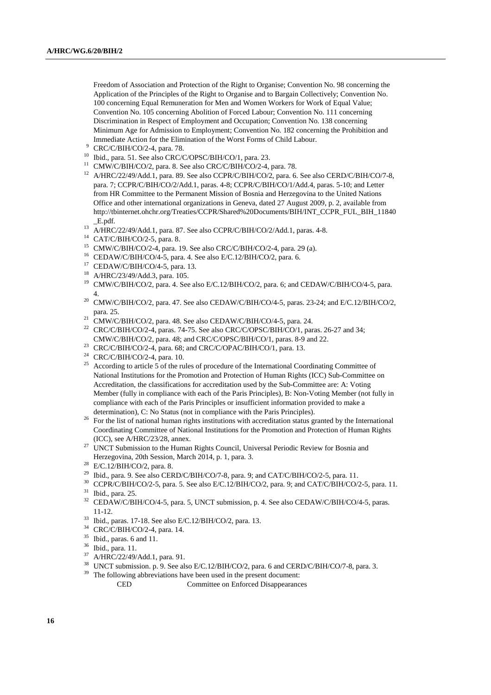Freedom of Association and Protection of the Right to Organise; Convention No. 98 concerning the Application of the Principles of the Right to Organise and to Bargain Collectively; Convention No. 100 concerning Equal Remuneration for Men and Women Workers for Work of Equal Value; Convention No. 105 concerning Abolition of Forced Labour; Convention No. 111 concerning Discrimination in Respect of Employment and Occupation; Convention No. 138 concerning Minimum Age for Admission to Employment; Convention No. 182 concerning the Prohibition and Immediate Action for the Elimination of the Worst Forms of Child Labour.

- <sup>9</sup> CRC/C/BIH/CO/2-4, para. 78.
- 10 Ibid., para. 51. See also CRC/C/OPSC/BIH/CO/1, para. 23.
- <sup>11</sup> CMW/C/BIH/CO/2, para. 8. See also CRC/C/BIH/CO/2-4, para. 78.
- <sup>12</sup> A/HRC/22/49/Add.1, para. 89. See also CCPR/C/BIH/CO/2, para. 6. See also CERD/C/BIH/CO/7-8, para. 7; CCPR/C/BIH/CO/2/Add.1, paras. 4-8; CCPR/C/BIH/CO/1/Add.4, paras. 5-10; and Letter from HR Committee to the Permanent Mission of Bosnia and Herzegovina to the United Nations Office and other international organizations in Geneva, dated 27 August 2009, p. 2, available from http://tbinternet.ohchr.org/Treaties/CCPR/Shared%20Documents/BIH/INT\_CCPR\_FUL\_BIH\_11840 \_E.pdf. 13 A/HRC/22/49/Add.1, para. 87. See also CCPR/C/BIH/CO/2/Add.1, paras. 4-8.
- 
- 14 CAT/C/BIH/CO/2-5, para. 8.
- <sup>15</sup> CMW/C/BIH/CO/2-4, para. 19. See also CRC/C/BIH/CO/2-4, para. 29 (a).
- 16 CEDAW/C/BIH/CO/4-5, para. 4. See also E/C.12/BIH/CO/2, para. 6.
- 17 CEDAW/C/BIH/CO/4-5, para. 13.
- 18 A/HRC/23/49/Add.3, para. 105.
- <sup>19</sup> CMW/C/BIH/CO/2, para. 4. See also E/C.12/BIH/CO/2, para. 6; and CEDAW/C/BIH/CO/4-5, para.
- <sup>20</sup> CMW/C/BIH/CO/2, para. 47. See also CEDAW/C/BIH/CO/4-5, paras. 23-24; and E/C.12/BIH/CO/2, para. 25. 21 CMW/C/BIH/CO/2, para. 48. See also CEDAW/C/BIH/CO/4-5, para. 24.
- 
- <sup>22</sup> CRC/C/BIH/CO/2-4, paras. 74-75. See also CRC/C/OPSC/BIH/CO/1, paras. 26-27 and 34;<br>CMW/C/BIH/CO/2, para. 48; and CRC/C/OPSC/BIH/CO/1, paras. 8-9 and 22.
- <sup>23</sup> CRC/C/BIH/CO/2-4, para. 68; and CRC/C/OPAC/BIH/CO/1, para. 13.
- 24 CRC/C/BIH/CO/2-4, para. 10.
- <sup>25</sup> According to article  $\overline{5}$  of the rules of procedure of the International Coordinating Committee of National Institutions for the Promotion and Protection of Human Rights (ICC) Sub-Committee on Accreditation, the classifications for accreditation used by the Sub-Committee are: A: Voting Member (fully in compliance with each of the Paris Principles), B: Non-Voting Member (not fully in compliance with each of the Paris Principles or insufficient information provided to make a
- determination), C: No Status (not in compliance with the Paris Principles).<br><sup>26</sup> For the list of national human rights institutions with accreditation status granted by the International Coordinating Committee of National Institutions for the Promotion and Protection of Human Rights (ICC), see A/HRC/23/28, annex.<br><sup>27</sup> UNCT Submission to the Human Rights Council, Universal Periodic Review for Bosnia and
- Herzegovina, 20th Session, March 2014, p. 1, para. 3. 28 E/C.12/BIH/CO/2, para. 8.
- 
- <sup>29</sup> Ibid., para. 9. See also CERD/C/BIH/CO/7-8, para. 9; and CAT/C/BIH/CO/2-5, para. 11.
- <sup>30</sup> CCPR/C/BIH/CO/2-5, para. 5. See also E/C.12/BIH/CO/2, para. 9; and CAT/C/BIH/CO/2-5, para. 11. Ibid., para. 25.
- <sup>32</sup> CEDAW/C/BIH/CO/4-5, para. 5, UNCT submission, p. 4. See also CEDAW/C/BIH/CO/4-5, paras. 11-12. 33 Ibid., paras. 17-18. See also E/C.12/BIH/CO/2, para. 13.
- 
- $34$  CRC/C/BIH/CO/2-4, para. 14.<br> $35$  Ibid, paras 6 and 11.
- $^{35}$  Ibid., paras. 6 and 11.
- $\frac{36}{37}$  Ibid., para. 11.
- $^{37}$  A/HRC/22/49/Add.1, para. 91.
- <sup>38</sup> UNCT submission. p. 9. See also  $E/C.12/BIH/CO/2$ , para. 6 and  $CERD/C/BIH/CO/7-8$ , para. 3.<br><sup>39</sup> The following abbunitations have been used in the present decument.
- The following abbreviations have been used in the present document:

CED Committee on Enforced Disappearances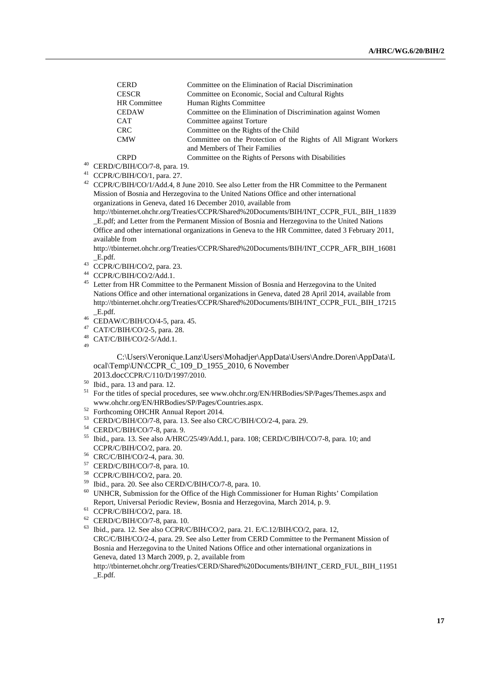| <b>CERD</b>         | Committee on the Elimination of Racial Discrimination            |
|---------------------|------------------------------------------------------------------|
| <b>CESCR</b>        | Committee on Economic, Social and Cultural Rights                |
| <b>HR</b> Committee | Human Rights Committee                                           |
| <b>CEDAW</b>        | Committee on the Elimination of Discrimination against Women     |
| <b>CAT</b>          | Committee against Torture                                        |
| <b>CRC</b>          | Committee on the Rights of the Child                             |
| <b>CMW</b>          | Committee on the Protection of the Rights of All Migrant Workers |
|                     | and Members of Their Families                                    |
| CDDD                | Committee on the Dights of Demans with Disphilities              |

- CRPD Committee on the Rights of Persons with Disabilities 40 CERD/C/BIH/CO/7-8, para. 19.
- 41 CCPR/C/BIH/CO/1, para. 27.

42 CCPR/C/BIH/CO/1/Add.4, 8 June 2010. See also Letter from the HR Committee to the Permanent Mission of Bosnia and Herzegovina to the United Nations Office and other international organizations in Geneva, dated 16 December 2010, available from

http://tbinternet.ohchr.org/Treaties/CCPR/Shared%20Documents/BIH/INT\_CCPR\_FUL\_BIH\_11839 \_E.pdf; and Letter from the Permanent Mission of Bosnia and Herzegovina to the United Nations Office and other international organizations in Geneva to the HR Committee, dated 3 February 2011, available from

http://tbinternet.ohchr.org/Treaties/CCPR/Shared%20Documents/BIH/INT\_CCPR\_AFR\_BIH\_16081

- $\_$ E.pdf.  $CC$ PR/C/BIH/CO/2, para. 23.
- 44 CCPR/C/BIH/CO/2/Add.1.
- <sup>45</sup> Letter from HR Committee to the Permanent Mission of Bosnia and Herzegovina to the United Nations Office and other international organizations in Geneva, dated 28 April 2014, available from http://tbinternet.ohchr.org/Treaties/CCPR/Shared%20Documents/BIH/INT\_CCPR\_FUL\_BIH\_17215
- $\_$ E.pdf. <br>  $^{46}$  CEDAW/C/BIH/CO/4-5, para. 45.
- 47 CAT/C/BIH/CO/2-5, para. 28.
- 48 CAT/C/BIH/CO/2-5/Add.1.

49

C:\Users\Veronique.Lanz\Users\Mohadjer\AppData\Users\Andre.Doren\AppData\L ocal\Temp\UN\CCPR\_C\_109\_D\_1955\_2010, 6 November 2013.docCCPR/C/110/D/1997/2010.

- 
- $2^{50}$  Ibid., para. 13 and para. 12.
- <sup>51</sup> For the titles of special procedures, see www.ohchr.org/EN/HRBodies/SP/Pages/Themes.aspx and www.ohchr.org/EN/HRBodies/SP/Pages/Countries.aspx. 52 Forthcoming OHCHR Annual Report 2014.
- 
- 53 CERD/C/BIH/CO/7-8, para. 13. See also CRC/C/BIH/CO/2-4, para. 29.
- 54 CERD/C/BIH/CO/7-8, para. 9.
- <sup>55</sup> Ibid., para. 13. See also A/HRC/25/49/Add.1, para. 108; CERD/C/BIH/CO/7-8, para. 10; and CCPR/C/BIH/CO/2, para. 20.
- 56 CRC/C/BIH/CO/2-4, para. 30.
- 57 CERD/C/BIH/CO/7-8, para. 10.
- 58 CCPR/C/BIH/CO/2, para. 20.
- 59 Ibid., para. 20. See also CERD/C/BIH/CO/7-8, para. 10.
- 60 UNHCR, Submission for the Office of the High Commissioner for Human Rights' Compilation Report, Universal Periodic Review, Bosnia and Herzegovina, March 2014, p. 9. 61 CCPR/C/BIH/CO/2, para. 18.
- 
- 62 CERD/C/BIH/CO/7-8, para. 10.
- 63 Ibid., para. 12. See also CCPR/C/BIH/CO/2, para. 21. E/C.12/BIH/CO/2, para. 12, CRC/C/BIH/CO/2-4, para. 29. See also Letter from CERD Committee to the Permanent Mission of Bosnia and Herzegovina to the United Nations Office and other international organizations in Geneva, dated 13 March 2009, p. 2, available from

http://tbinternet.ohchr.org/Treaties/CERD/Shared%20Documents/BIH/INT\_CERD\_FUL\_BIH\_11951 \_E.pdf.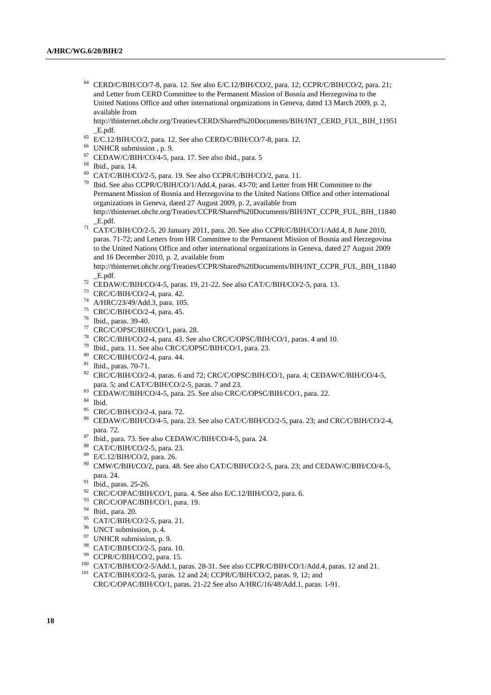64 CERD/C/BIH/CO/7-8, para. 12. See also E/C.12/BIH/CO/2, para. 12; CCPR/C/BIH/CO/2, para. 21; and Letter from CERD Committee to the Permanent Mission of Bosnia and Herzegovina to the United Nations Office and other international organizations in Geneva, dated 13 March 2009, p. 2, available from

http://tbinternet.ohchr.org/Treaties/CERD/Shared%20Documents/BIH/INT\_CERD\_FUL\_BIH\_11951

- \_E.pdf. 65 E/C.12/BIH/CO/2, para. 12. See also CERD/C/BIH/CO/7-8, para. 12.
- 66 UNHCR submission , p. 9.
- 67 CEDAW/C/BIH/CO/4-5, para. 17. See also ibid., para. 5
- 68 Ibid., para. 14.
- 69 CAT/C/BIH/CO/2-5, para. 19. See also CCPR/C/BIH/CO/2, para. 11.
- 70 Ibid. See also CCPR/C/BIH/CO/1/Add.4, paras. 43-70; and Letter from HR Committee to the Permanent Mission of Bosnia and Herzegovina to the United Nations Office and other international organizations in Geneva, dated 27 August 2009, p. 2, available from http://tbinternet.ohchr.org/Treaties/CCPR/Shared%20Documents/BIH/INT\_CCPR\_FUL\_BIH\_11840
- $\overline{CAT/C/BIH/CO/2-5}$ , 20 January 2011, para. 20. See also CCPR/C/BIH/CO/1/Add.4, 8 June 2010, paras. 71-72; and Letters from HR Committee to the Permanent Mission of Bosnia and Herzegovina to the United Nations Office and other international organizations in Geneva, dated 27 August 2009 and 16 December 2010, p. 2, available from

http://tbinternet.ohchr.org/Treaties/CCPR/Shared%20Documents/BIH/INT\_CCPR\_FUL\_BIH\_11840 \_E.pdf. 72 CEDAW/C/BIH/CO/4-5, paras. 19, 21-22. See also CAT/C/BIH/CO/2-5, para. 13.

- 
- 73 CRC/C/BIH/CO/2-4, para. 42.
- 74 A/HRC/23/49/Add.3, para. 105.
- 75 CRC/C/BIH/CO/2-4, para. 45.
- 76 Ibid., paras. 39-40.
- 77 CRC/C/OPSC/BIH/CO/1, para. 28.
- 78 CRC/C/BIH/CO/2-4, para. 43. See also CRC/C/OPSC/BIH/CO/1, paras. 4 and 10.
- 79 Ibid., para. 11. See also CRC/C/OPSC/BIH/CO/1, para. 23.
- 80 CRC/C/BIH/CO/2-4, para. 44.
- 81 Ibid., paras. 70-71.
- 82 CRC/C/BIH/CO/2-4, paras. 6 and 72; CRC/C/OPSC/BIH/CO/1, para. 4; CEDAW/C/BIH/CO/4-5,
- para. 5; and CAT/C/BIH/CO/2-5, paras. 7 and 23.<br><sup>83</sup> CEDAW/C/BIH/CO/4-5, para. 25. See also CRC/C/OPSC/BIH/CO/1, para. 22.
- 84 Ibid.
- 85 CRC/C/BIH/CO/2-4, para. 72.
- 86 CEDAW/C/BIH/CO/4-5, para. 23. See also CAT/C/BIH/CO/2-5, para. 23; and CRC/C/BIH/CO/2-4, para. 72. 87 Ibid., para. 73. See also CEDAW/C/BIH/CO/4-5, para. 24.
- 
- 88 CAT/C/BIH/CO/2-5, para. 23.
- 89 E/C.12/BIH/CO/2, para. 26.
- $^{90}$  CMW/C/BIH/CO/2, para. 48. See also CAT/C/BIH/CO/2-5, para. 23; and CEDAW/C/BIH/CO/4-5,
- para. 24. 91 Ibid., paras. 25-26.
- $^{92}$  CRC/C/OPAC/BIH/CO/1, para. 4. See also E/C.12/BIH/CO/2, para. 6.
- 93 CRC/C/OPAC/BIH/CO/1, para. 19.
- 94 Ibid., para. 20.
- 95 CAT/C/BIH/CO/2-5, para. 21.
- <sup>96</sup> UNCT submission, p. 4.
- <sup>97</sup> UNHCR submission, p. 9.
- <sup>98</sup> CAT/C/BIH/CO/2-5, para. 10.<br><sup>99</sup> CCPR/C/BIH/CO/2, para. 15.
- 
- <sup>100</sup> CAT/C/BIH/CO/2-5/Add.1, paras. 28-31. See also CCPR/C/BIH/CO/1/Add.4, paras. 12 and 21. <sup>101</sup> CAT/C/BIH/CO/2-5, paras. 12 and 24; CCPR/C/BIH/CO/2, paras. 9, 12; and
- CRC/C/OPAC/BIH/CO/1, paras. 21-22 See also A/HRC/16/48/Add.1, paras. 1-91.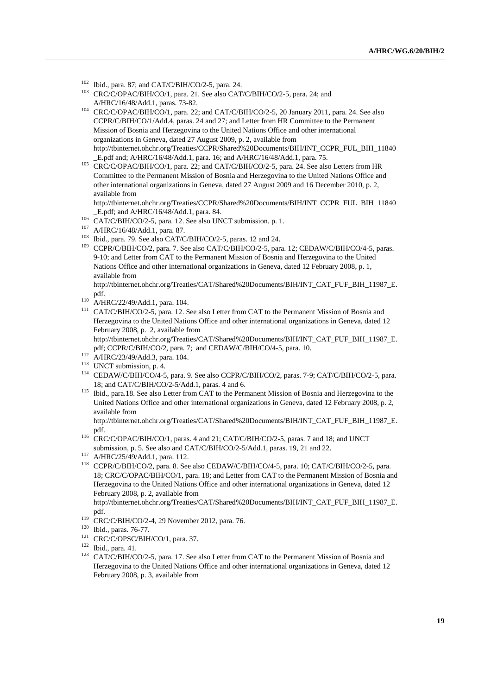- 
- <sup>102</sup> Ibid., para. 87; and CAT/C/BIH/CO/2-5, para. 24.<br><sup>103</sup> CRC/C/OPAC/BIH/CO/1, para. 21. See also CAT/C/BIH/CO/2-5, para. 24; and
- A/HRC/16/48/Add.1, paras. 73-82.<br><sup>104</sup> CRC/C/OPAC/BIH/CO/1, para. 22; and CAT/C/BIH/CO/2-5, 20 January 2011, para. 24. See also CCPR/C/BIH/CO/1/Add.4, paras. 24 and 27; and Letter from HR Committee to the Permanent Mission of Bosnia and Herzegovina to the United Nations Office and other international organizations in Geneva, dated 27 August 2009, p. 2, available from http://tbinternet.ohchr.org/Treaties/CCPR/Shared%20Documents/BIH/INT\_CCPR\_FUL\_BIH\_11840
- \_E.pdf and; A/HRC/16/48/Add.1, para. 16; and A/HRC/16/48/Add.1, para. 75. 105 CRC/C/OPAC/BIH/CO/1, para. 22; and CAT/C/BIH/CO/2-5, para. 24. See also Letters from HR Committee to the Permanent Mission of Bosnia and Herzegovina to the United Nations Office and other international organizations in Geneva, dated 27 August 2009 and 16 December 2010, p. 2, available from

http://tbinternet.ohchr.org/Treaties/CCPR/Shared%20Documents/BIH/INT\_CCPR\_FUL\_BIH\_11840

- 
- 
- 
- E.pdf; and A/HRC/16/48/Add.1, para. 84.<br>
06 CAT/C/BIH/CO/2-5, para. 12. See also UNCT submission. p. 1.<br>
107 A/HRC/16/48/Add.1, para. 87.<br>
108 Ibid., para. 79. See also CAT/C/BIH/CO/2-5, paras. 12 and 24.<br>
109 CCPR/C/BIH/C 9-10; and Letter from CAT to the Permanent Mission of Bosnia and Herzegovina to the United Nations Office and other international organizations in Geneva, dated 12 February 2008, p. 1, available from

http://tbinternet.ohchr.org/Treaties/CAT/Shared%20Documents/BIH/INT\_CAT\_FUF\_BIH\_11987\_E.

- 
- pdf.<br>
<sup>110</sup> A/HRC/22/49/Add.1, para. 104.<br>
<sup>111</sup> CAT/C/BIH/CO/2-5, para. 12. See also Letter from CAT to the Permanent Mission of Bosnia and Herzegovina to the United Nations Office and other international organizations in Geneva, dated 12 February 2008, p. 2, available from

http://tbinternet.ohchr.org/Treaties/CAT/Shared%20Documents/BIH/INT\_CAT\_FUF\_BIH\_11987\_E. pdf; CCPR/C/BIH/CO/2, para. 7; and CEDAW/C/BIH/CO/4-5, para. 10.<br>
<sup>112</sup> A/HRC/23/49/Add.3, para. 104.<br>
<sup>113</sup> UNCT submission, p. 4.<br>
<sup>114</sup> CEDAW/C/BIH/CO/4-5, para. 9. See also CCPR/C/BIH/CO/2, paras. 7-9; CAT/C/BIH/CO/2-5

- 
- 
- 18; and CAT/C/BIH/CO/2-5/Add.1, paras. 4 and 6. 115 Ibid., para.18. See also Letter from CAT to the Permanent Mission of Bosnia and Herzegovina to the
- United Nations Office and other international organizations in Geneva, dated 12 February 2008, p. 2, available from

http://tbinternet.ohchr.org/Treaties/CAT/Shared%20Documents/BIH/INT\_CAT\_FUF\_BIH\_11987\_E.

- pdf.<br>
<sup>116</sup> CRC/C/OPAC/BIH/CO/1, paras. 4 and 21; CAT/C/BIH/CO/2-5, paras. 7 and 18; and UNCT<br>
submission, p. 5. See also and CAT/C/BIH/CO/2-5/Add.1, paras. 19, 21 and 22.
- 
- submission, p. 5. See also 2112.<br><sup>117</sup> A/HRC/25/49/Add.1, para. 112.<br><sup>118</sup> CCPR/C/BIH/CO/2, para. 8. See also CEDAW/C/BIH/CO/4-5, para. 10; CAT/C/BIH/CO/2-5, para. 18; CRC/C/OPAC/BIH/CO/1, para. 18; and Letter from CAT to the Permanent Mission of Bosnia and Herzegovina to the United Nations Office and other international organizations in Geneva, dated 12 February 2008, p. 2, available from

http://tbinternet.ohchr.org/Treaties/CAT/Shared%20Documents/BIH/INT\_CAT\_FUF\_BIH\_11987\_E. pdf.<br>
<sup>119</sup> CRC/C/BIH/CO/2-4, 29 November 2012, para. 76.<br>
<sup>121</sup> CRC/C/OPSC/BIH/CO/1, para. 37.<br>
<sup>122</sup> Ibid., para. 41.<br>
<sup>122</sup> Ibid., para. 41.<br>
<sup>122</sup> CAT/C/BIH/CO/2-5, para. 17. See also Letter from CAT to the Permanent M

Herzegovina to the United Nations Office and other international organizations in Geneva, dated 12 February 2008, p. 3, available from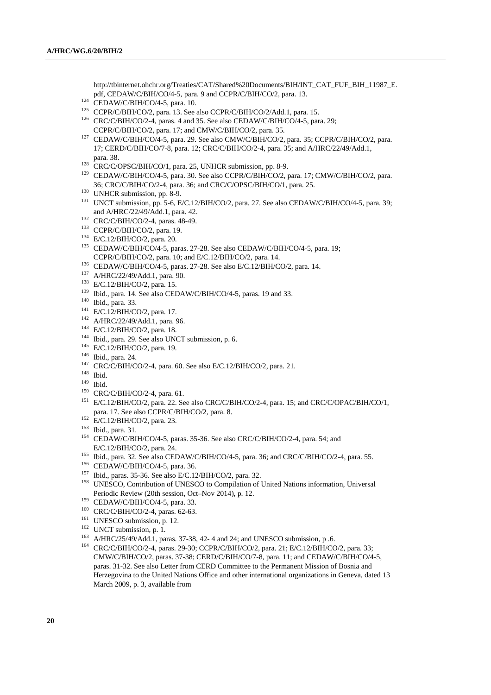http://tbinternet.ohchr.org/Treaties/CAT/Shared%20Documents/BIH/INT\_CAT\_FUF\_BIH\_11987\_E.<br>pdf, CEDAW/C/BIH/CO/4-5, para. 9 and CCPR/C/BIH/CO/2, para. 13.

- 
- 
- <sup>124</sup> CEDAW/C/BIH/CO/4-5, para. 10.<br><sup>125</sup> CCPR/C/BIH/CO/2, para. 13. See also CCPR/C/BIH/CO/2/Add.1, para. 15.<br><sup>126</sup> CRC/C/BIH/CO/2-4, paras. 4 and 35. See also CEDAW/C/BIH/CO/4-5, para. 29;
- CCPR/C/BIH/CO/2, para. 17; and CMW/C/BIH/CO/2, para. 35.<br><sup>127</sup> CEDAW/C/BIH/CO/4-5, para. 29. See also CMW/C/BIH/CO/2, para. 35; CCPR/C/BIH/CO/2, para. 17; CERD/C/BIH/CO/7-8, para. 12; CRC/C/BIH/CO/2-4, para. 35; and A/HRC/22/49/Add.1,
- 
- para. 38.<br>
<sup>128</sup> CRC/C/OPSC/BIH/CO/1, para. 25, UNHCR submission, pp. 8-9.<br>
<sup>129</sup> CEDAW/C/BIH/CO/4-5, para. 30. See also CCPR/C/BIH/CO/2, para. 17; CMW/C/BIH/CO/2, para.
- 
- 36; CRC/C/BIH/CO/2-4, para. 36; and CRC/C/OPSC/BIH/CO/1, para. 25.<br>
<sup>130</sup> UNHCR submission, pp. 8-9.<br>
<sup>131</sup> UNCT submission, pp. 5-6, E/C.12/BIH/CO/2, para. 27. See also CEDAW/C/BIH/CO/4-5, para. 39;
- 
- 
- 
- and A/HRC/22/49/Add.1, para. 42.<br>
<sup>132</sup> CRC/C/BIH/CO/2-4, paras. 48-49.<br>
<sup>133</sup> CCPR/C/BIH/CO/2, para. 19.<br>
<sup>134</sup> E/C.12/BIH/CO/4-5, paras. 27-28. See also CEDAW/C/BIH/CO/4-5, para. 19;<br>
CCPR/C/BIH/CO/2, para. 10; and E/C.
- 
- 
- 
- 
- 
- 
- 
- 
- 
- 
- 
- 
- 
- 
- 
- CCPR/C/BIH/CO/2, para. 10; and E/C.12/BIH/CO/2, para. 14.<br>
<sup>136</sup> CEDAW/C/BIH/CO/4-5, paras. 27-28. See also E/C.12/BIH/CO/2, para. 14.<br>
<sup>137</sup> A/HRC/22/49/Add.1, para. 90.<br>
<sup>138</sup> E/C.12/BIH/CO/2, para. 15.<br>
<sup>139</sup> Ibid., par
- 
- 
- para. 17. See also CCPR/C/BIH/CO/2, para. 8.<br>
<sup>152</sup> E/C.12/BIH/CO/2, para. 23.<br>
<sup>153</sup> Ibid., para. 31.<br>
CEDAW/C/BIH/CO/4-5, paras. 35-36. See also CRC/C/BIH/CO/2-4, para. 54; and<br>
E/C.12/BIH/CO/2, para. 24.
- 
- 
- 
- <sup>155</sup> Ibid., para. 32. See also CEDAW/C/BIH/CO/4-5, para. 36; and CRC/C/BIH/CO/2-4, para. 55.<br><sup>156</sup> CEDAW/C/BIH/CO/4-5, para. 36.<br><sup>157</sup> Ibid., paras. 35-36. See also E/C.12/BIH/CO/2, para. 32.<br><sup>158</sup> UNESCO, Contribution of
- 
- 
- 
- 
- 
- Periodic Review (20th session, Oct–Nov 2014), p. 12.<br>
<sup>159</sup> CEDAW/C/BIH/CO/4-5, para. 33.<br>
<sup>160</sup> CRC/C/BIH/CO/2-4, paras. 62-63.<br>
<sup>161</sup> UNESCO submission, p. 12.<br>
<sup>162</sup> UNCT submission, p. 1.<br>
<sup>162</sup> UNCT submission, p. 1.<br> CMW/C/BIH/CO/2, paras. 37-38; CERD/C/BIH/CO/7-8, para. 11; and CEDAW/C/BIH/CO/4-5, paras. 31-32. See also Letter from CERD Committee to the Permanent Mission of Bosnia and Herzegovina to the United Nations Office and other international organizations in Geneva, dated 13 March 2009, p. 3, available from